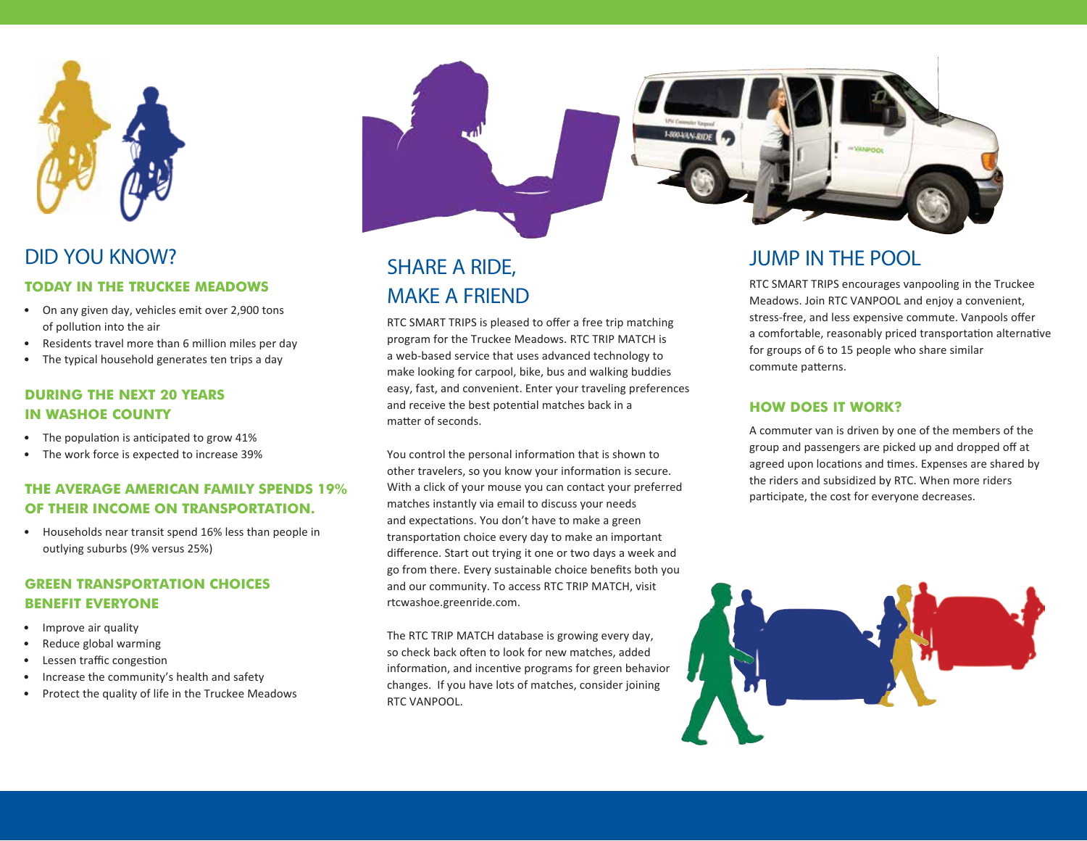

## DID YOU KNOW?

#### **TODAY IN THE TRUCKEE MEADOWS**

- On any given day, vehicles emit over 2,900 tons of pollution into the air
- Residents travel more than 6 million miles per day
- The typical household generates ten trips a day

#### **DURING THE NEXT 20 YEARS IN WASHOE COUNTY**

- The population is anticipated to grow 41%
- The work force is expected to increase 39%

#### **THE AVERAGE AMERICAN FAMILY SPENDS 19% OF THEIR INCOME ON TRANSPORTATION.**

• Households near transit spend 16% less than people in outlying suburbs (9% versus 25%)

#### **GREEN TRANSPORTATION CHOICES BENEFIT EVERYONE**

- Improve air quality
- Reduce global warming
- Lessen traffic congestion
- Increase the community's health and safety
- Protect the quality of life in the Truckee Meadows



# MAKE A FRIEND

RTC SMART TRIPS is pleased to offer a free trip matching program for the Truckee Meadows. RTC TRIP MATCH is a web-based service that uses advanced technology to make looking for carpool, bike, bus and walking buddies easy, fast, and convenient. Enter your traveling preferences and receive the best potential matches back in a matter of seconds.

You control the personal information that is shown to other travelers, so you know your information is secure. With a click of your mouse you can contact your preferred matches instantly via email to discuss your needs and expectations. You don't have to make a green transportation choice every day to make an important difference. Start out trying it one or two days a week and go from there. Every sustainable choice benefits both you and our community. To access RTC TRIP MATCH, visit rtcwashoe.greenride.com.

The RTC TRIP MATCH database is growing every day, so check back often to look for new matches, added information, and incentive programs for green behavior changes. If you have lots of matches, consider joining RTC VANPOOL.

## JUMP IN THE POOL SHARE A RIDE,

RTC SMART TRIPS encourages vanpooling in the Truckee Meadows. Join RTC VANPOOL and enjoy a convenient, stress-free, and less expensive commute. Vanpools offer a comfortable, reasonably priced transportation alternative for groups of 6 to 15 people who share similar commute patterns.

#### **HOW DOES IT WORK?**

A commuter van is driven by one of the members of the group and passengers are picked up and dropped off at agreed upon locations and times. Expenses are shared by the riders and subsidized by RTC. When more riders participate, the cost for everyone decreases.